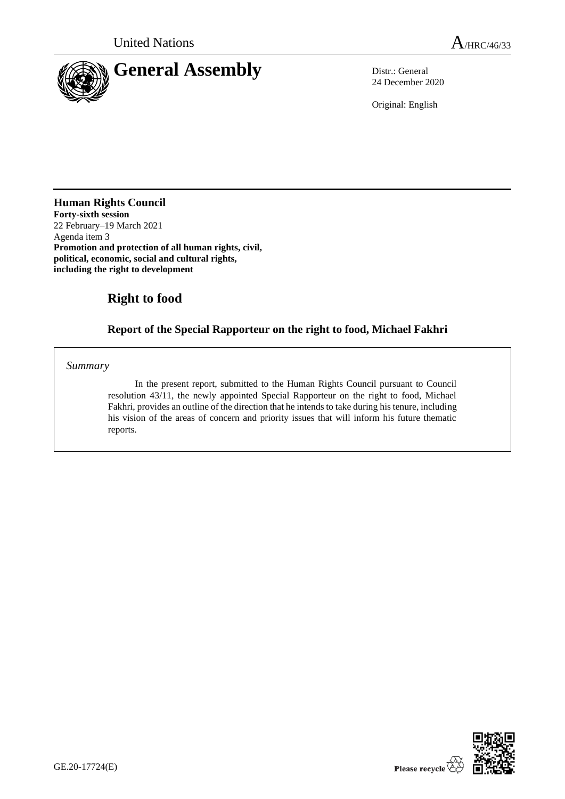

24 December 2020

Original: English

**Human Rights Council Forty-sixth session**  22 February–19 March 2021 Agenda item 3 **Promotion and protection of all human rights, civil, political, economic, social and cultural rights, including the right to development**

# **Right to food**

# **Report of the Special Rapporteur on the right to food, Michael Fakhri**

*Summary*

In the present report, submitted to the Human Rights Council pursuant to Council resolution 43/11, the newly appointed Special Rapporteur on the right to food, Michael Fakhri, provides an outline of the direction that he intends to take during his tenure, including his vision of the areas of concern and priority issues that will inform his future thematic reports.

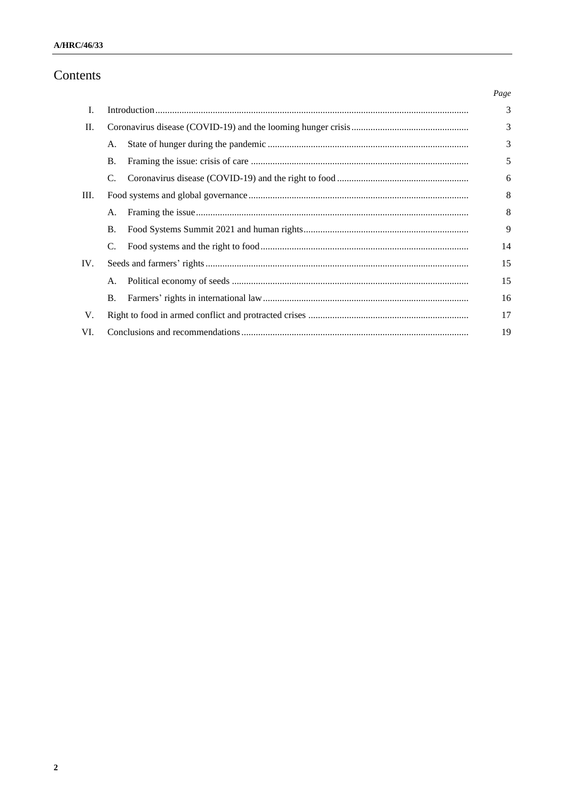# Contents

|     |           |  | Page |
|-----|-----------|--|------|
| L.  |           |  | 3    |
| П.  |           |  | 3    |
|     | А.        |  | 3    |
|     | <b>B.</b> |  | 5    |
|     | C.        |  | 6    |
| Ш.  |           |  | 8    |
|     | A.        |  | 8    |
|     | <b>B.</b> |  | 9    |
|     | C.        |  | 14   |
| IV. |           |  | 15   |
|     | A.        |  | 15   |
|     | <b>B.</b> |  | 16   |
| V.  |           |  | 17   |
| VI. |           |  | 19   |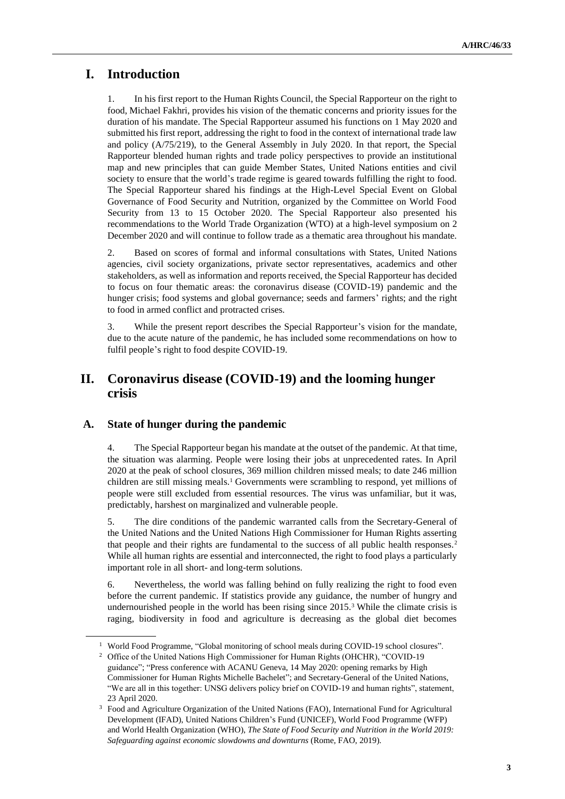# **I. Introduction**

1. In his first report to the Human Rights Council, the Special Rapporteur on the right to food, Michael Fakhri, provides his vision of the thematic concerns and priority issues for the duration of his mandate. The Special Rapporteur assumed his functions on 1 May 2020 and submitted his first report, addressing the right to food in the context of international trade law and policy (A/75/219), to the General Assembly in July 2020. In that report, the Special Rapporteur blended human rights and trade policy perspectives to provide an institutional map and new principles that can guide Member States, United Nations entities and civil society to ensure that the world's trade regime is geared towards fulfilling the right to food. The Special Rapporteur shared his findings at the High-Level Special Event on Global Governance of Food Security and Nutrition, organized by the Committee on World Food Security from 13 to 15 October 2020. The Special Rapporteur also presented his recommendations to the World Trade Organization (WTO) at a high-level symposium on 2 December 2020 and will continue to follow trade as a thematic area throughout his mandate.

2. Based on scores of formal and informal consultations with States, United Nations agencies, civil society organizations, private sector representatives, academics and other stakeholders, as well as information and reports received, the Special Rapporteur has decided to focus on four thematic areas: the coronavirus disease (COVID-19) pandemic and the hunger crisis; food systems and global governance; seeds and farmers' rights; and the right to food in armed conflict and protracted crises.

3. While the present report describes the Special Rapporteur's vision for the mandate, due to the acute nature of the pandemic, he has included some recommendations on how to fulfil people's right to food despite COVID-19.

## **II. Coronavirus disease (COVID-19) and the looming hunger crisis**

#### **A. State of hunger during the pandemic**

4. The Special Rapporteur began his mandate at the outset of the pandemic. At that time, the situation was alarming. People were losing their jobs at unprecedented rates. In April 2020 at the peak of school closures, 369 million children missed meals; to date 246 million children are still missing meals.<sup>1</sup> Governments were scrambling to respond, yet millions of people were still excluded from essential resources. The virus was unfamiliar, but it was, predictably, harshest on marginalized and vulnerable people.

5. The dire conditions of the pandemic warranted calls from the Secretary-General of the United Nations and the United Nations High Commissioner for Human Rights asserting that people and their rights are fundamental to the success of all public health responses.<sup>2</sup> While all human rights are essential and interconnected, the right to food plays a particularly important role in all short- and long-term solutions.

6. Nevertheless, the world was falling behind on fully realizing the right to food even before the current pandemic. If statistics provide any guidance, the number of hungry and undernourished people in the world has been rising since 2015.<sup>3</sup> While the climate crisis is raging, biodiversity in food and agriculture is decreasing as the global diet becomes

<sup>&</sup>lt;sup>1</sup> World Food Programme, "Global monitoring of school meals during COVID-19 school closures".

<sup>2</sup> Office of the United Nations High Commissioner for Human Rights (OHCHR), "COVID-19 guidance"; ["Press conference with ACANU Geneva, 14 May 2020:](http://www.ohchr.org/EN/NewsEvents/Pages/DisplayNews.aspx?NewsID=25886&LangID=E;%20and) opening remarks by High [Commissioner for Human Rights Michelle Bachelet"; and](http://www.ohchr.org/EN/NewsEvents/Pages/DisplayNews.aspx?NewsID=25886&LangID=E;%20and) Secretary-General of the United Nations, "We are all in this together: UNSG delivers policy brief on COVID-19 and human rights", statement, 23 April 2020.

<sup>&</sup>lt;sup>3</sup> Food and Agriculture Organization of the United Nations (FAO), International Fund for Agricultural Development (IFAD), United Nations Children's Fund (UNICEF), World Food Programme (WFP) and World Health Organization (WHO), *The State of Food Security and Nutrition in the World 2019: Safeguarding against economic slowdowns and downturns* (Rome, FAO, 2019).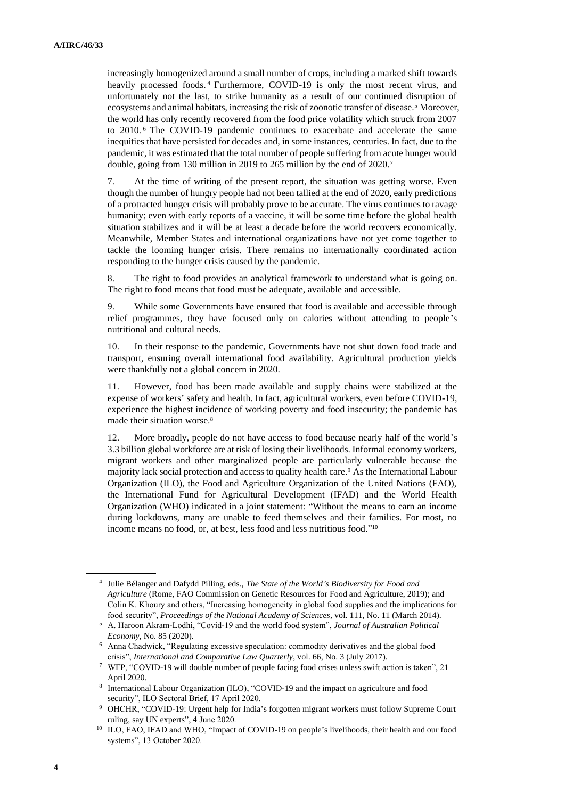increasingly homogenized around a small number of crops, including a marked shift towards heavily processed foods. <sup>4</sup> Furthermore, COVID-19 is only the most recent virus, and unfortunately not the last, to strike humanity as a result of our continued disruption of ecosystems and animal habitats, increasing the risk of zoonotic transfer of disease.<sup>5</sup> Moreover, the world has only recently recovered from the food price volatility which struck from 2007 to 2010. <sup>6</sup> The COVID-19 pandemic continues to exacerbate and accelerate the same inequities that have persisted for decades and, in some instances, centuries. In fact, due to the pandemic, it was estimated that the total number of people suffering from acute hunger would double, going from 130 million in 2019 to 265 million by the end of 2020.<sup>7</sup>

7. At the time of writing of the present report, the situation was getting worse. Even though the number of hungry people had not been tallied at the end of 2020, early predictions of a protracted hunger crisis will probably prove to be accurate. The virus continues to ravage humanity; even with early reports of a vaccine, it will be some time before the global health situation stabilizes and it will be at least a decade before the world recovers economically. Meanwhile, Member States and international organizations have not yet come together to tackle the looming hunger crisis. There remains no internationally coordinated action responding to the hunger crisis caused by the pandemic.

8. The right to food provides an analytical framework to understand what is going on. The right to food means that food must be adequate, available and accessible.

9. While some Governments have ensured that food is available and accessible through relief programmes, they have focused only on calories without attending to people's nutritional and cultural needs.

10. In their response to the pandemic, Governments have not shut down food trade and transport, ensuring overall international food availability. Agricultural production yields were thankfully not a global concern in 2020.

11. However, food has been made available and supply chains were stabilized at the expense of workers' safety and health. In fact, agricultural workers, even before COVID-19, experience the highest incidence of working poverty and food insecurity; the pandemic has made their situation worse.<sup>8</sup>

12. More broadly, people do not have access to food because nearly half of the world's 3.3 billion global workforce are at risk of losing their livelihoods. Informal economy workers, migrant workers and other marginalized people are particularly vulnerable because the majority lack social protection and access to quality health care.<sup>9</sup> As the International Labour Organization (ILO), the Food and Agriculture Organization of the United Nations (FAO), the International Fund for Agricultural Development (IFAD) and the World Health Organization (WHO) indicated in a joint statement: "Without the means to earn an income during lockdowns, many are unable to feed themselves and their families. For most, no income means no food, or, at best, less food and less nutritious food." 10

<sup>4</sup> Julie Bélanger and Dafydd Pilling, eds., *The State of the World's Biodiversity for Food and Agriculture* (Rome, FAO Commission on Genetic Resources for Food and Agriculture, 2019); and Colin K. Khoury and others, "Increasing homogeneity in global food supplies and the implications for food security", *Proceedings of the National Academy of Sciences*, vol. 111, No. 11 (March 2014).

<sup>5</sup> A. Haroon Akram-Lodhi, "Covid-19 and the world food system", *Journal of Australian Political Economy*, No. 85 (2020).

<sup>6</sup> Anna Chadwick, "Regulating excessive speculation: commodity derivatives and the global food crisis", *International and Comparative Law Quarterly*, vol. 66, No. 3 (July 2017).

<sup>7</sup> WFP, "COVID-19 will double number of people facing food crises unless swift action is taken", 21 April 2020.

<sup>8</sup> International Labour Organization (ILO), "COVID-19 and the impact on agriculture and food security", ILO Sectoral Brief, 17 April 2020.

<sup>9</sup> OHCHR, "COVID-19: Urgent help for India's forgotten migrant workers must follow Supreme Court ruling, say UN experts", 4 June 2020.

<sup>&</sup>lt;sup>10</sup> ILO, FAO, IFAD and WHO, "Impact of COVID-19 on people's livelihoods, their health and our food systems", 13 October 2020.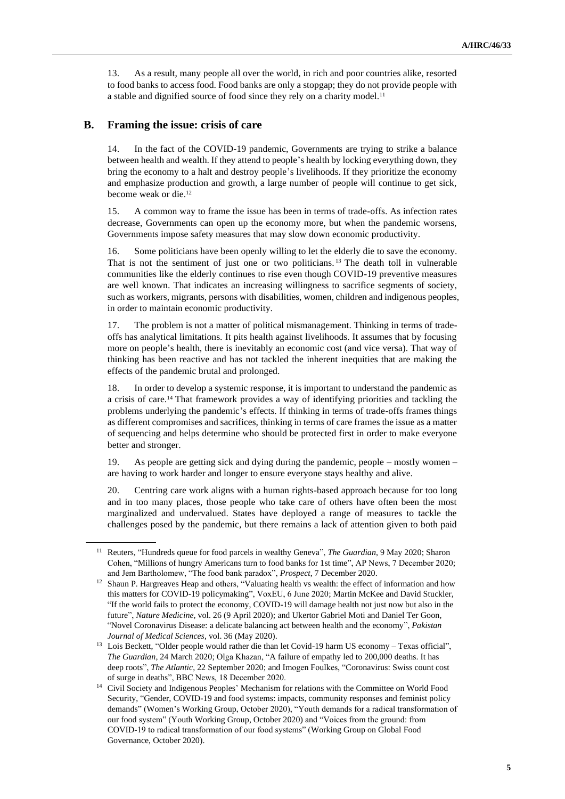13. As a result, many people all over the world, in rich and poor countries alike, resorted to food banks to access food. Food banks are only a stopgap; they do not provide people with a stable and dignified source of food since they rely on a charity model.<sup>11</sup>

#### **B. Framing the issue: crisis of care**

14. In the fact of the COVID-19 pandemic, Governments are trying to strike a balance between health and wealth. If they attend to people's health by locking everything down, they bring the economy to a halt and destroy people's livelihoods. If they prioritize the economy and emphasize production and growth, a large number of people will continue to get sick, become weak or die.<sup>12</sup>

15. A common way to frame the issue has been in terms of trade-offs. As infection rates decrease, Governments can open up the economy more, but when the pandemic worsens, Governments impose safety measures that may slow down economic productivity.

16. Some politicians have been openly willing to let the elderly die to save the economy. That is not the sentiment of just one or two politicians. <sup>13</sup> The death toll in vulnerable communities like the elderly continues to rise even though COVID-19 preventive measures are well known. That indicates an increasing willingness to sacrifice segments of society, such as workers, migrants, persons with disabilities, women, children and indigenous peoples, in order to maintain economic productivity.

17. The problem is not a matter of political mismanagement. Thinking in terms of tradeoffs has analytical limitations. It pits health against livelihoods. It assumes that by focusing more on people's health, there is inevitably an economic cost (and vice versa). That way of thinking has been reactive and has not tackled the inherent inequities that are making the effects of the pandemic brutal and prolonged.

18. In order to develop a systemic response, it is important to understand the pandemic as a crisis of care.<sup>14</sup> That framework provides a way of identifying priorities and tackling the problems underlying the pandemic's effects. If thinking in terms of trade-offs frames things as different compromises and sacrifices, thinking in terms of care frames the issue as a matter of sequencing and helps determine who should be protected first in order to make everyone better and stronger.

19. As people are getting sick and dying during the pandemic, people – mostly women – are having to work harder and longer to ensure everyone stays healthy and alive.

20. Centring care work aligns with a human rights-based approach because for too long and in too many places, those people who take care of others have often been the most marginalized and undervalued. States have deployed a range of measures to tackle the challenges posed by the pandemic, but there remains a lack of attention given to both paid

<sup>11</sup> Reuters, "Hundreds queue for food parcels in wealthy Geneva", *The Guardian*, 9 May 2020; Sharon Cohen, "Millions of hungry Americans turn to food banks for 1st time", AP News, 7 December 2020; and Jem Bartholomew, "The food bank paradox", *Prospect*, 7 December 2020.

<sup>&</sup>lt;sup>12</sup> Shaun P. Hargreaves Heap and others, "Valuating health vs wealth: the effect of information and how this matters for COVID-19 policymaking", VoxEU, 6 June 2020; Martin McKee and David Stuckler, "If the world fails to protect the economy, COVID-19 will damage health not just now but also in the future", *Nature Medicine*, vol. 26 (9 April 2020); and Ukertor Gabriel Moti and Daniel Ter Goon, "Novel Coronavirus Disease: a delicate balancing act between health and the economy", *Pakistan Journal of Medical Sciences*, vol. 36 (May 2020).

<sup>&</sup>lt;sup>13</sup> Lois Beckett, "Older people would rather die than let Covid-19 harm US economy – Texas official", *The Guardian*, 24 March 2020; Olga Khazan, "A failure of empathy led to 200,000 deaths. It has deep roots", *The Atlantic*, 22 September 2020; and Imogen Foulkes, "Coronavirus: Swiss count cost of surge in deaths", BBC News, 18 December 2020.

<sup>&</sup>lt;sup>14</sup> Civil Society and Indigenous Peoples' Mechanism for relations with the Committee on World Food Security, "Gender, COVID-19 and food systems: impacts, community responses and feminist policy demands" (Women's Working Group, October 2020), "Youth demands for a radical transformation of our food system" (Youth Working Group, October 2020) and "Voices from the ground: from COVID-19 to radical transformation of our food systems" (Working Group on Global Food Governance, October 2020).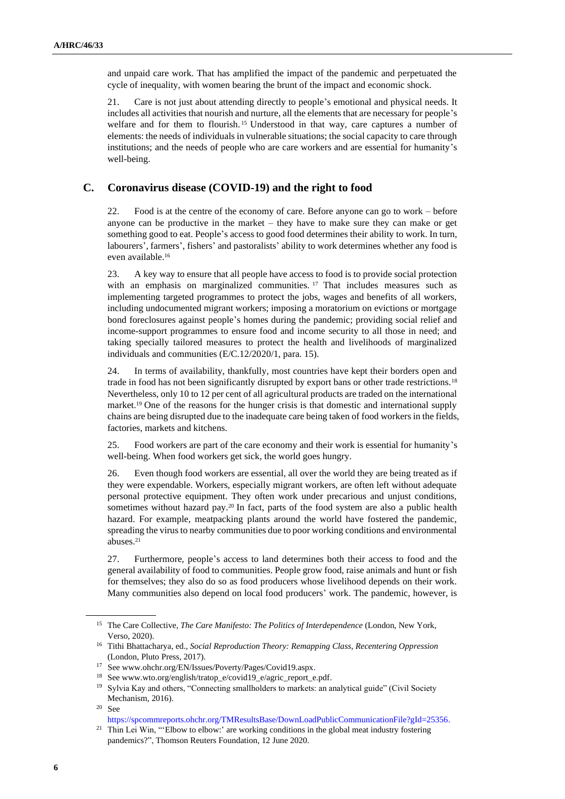and unpaid care work. That has amplified the impact of the pandemic and perpetuated the cycle of inequality, with women bearing the brunt of the impact and economic shock.

21. Care is not just about attending directly to people's emotional and physical needs. It includes all activities that nourish and nurture, all the elements that are necessary for people's welfare and for them to flourish.<sup>15</sup> Understood in that way, care captures a number of elements: the needs of individuals in vulnerable situations; the social capacity to care through institutions; and the needs of people who are care workers and are essential for humanity's well-being.

#### **C. Coronavirus disease (COVID-19) and the right to food**

22. Food is at the centre of the economy of care. Before anyone can go to work – before anyone can be productive in the market – they have to make sure they can make or get something good to eat. People's access to good food determines their ability to work. In turn, labourers', farmers', fishers' and pastoralists' ability to work determines whether any food is even available.<sup>16</sup>

23. A key way to ensure that all people have access to food is to provide social protection with an emphasis on marginalized communities.<sup>17</sup> That includes measures such as implementing targeted programmes to protect the jobs, wages and benefits of all workers, including undocumented migrant workers; imposing a moratorium on evictions or mortgage bond foreclosures against people's homes during the pandemic; providing social relief and income-support programmes to ensure food and income security to all those in need; and taking specially tailored measures to protect the health and livelihoods of marginalized individuals and communities (E/C.12/2020/1, para. 15).

24. In terms of availability, thankfully, most countries have kept their borders open and trade in food has not been significantly disrupted by export bans or other trade restrictions.<sup>18</sup> Nevertheless, only 10 to 12 per cent of all agricultural products are traded on the international market.<sup>19</sup> One of the reasons for the hunger crisis is that domestic and international supply chains are being disrupted due to the inadequate care being taken of food workers in the fields, factories, markets and kitchens.

25. Food workers are part of the care economy and their work is essential for humanity's well-being. When food workers get sick, the world goes hungry.

26. Even though food workers are essential, all over the world they are being treated as if they were expendable. Workers, especially migrant workers, are often left without adequate personal protective equipment. They often work under precarious and unjust conditions, sometimes without hazard pay.<sup>20</sup> In fact, parts of the food system are also a public health hazard. For example, meatpacking plants around the world have fostered the pandemic, spreading the virus to nearby communities due to poor working conditions and environmental abuses.<sup>21</sup>

27. Furthermore, people's access to land determines both their access to food and the general availability of food to communities. People grow food, raise animals and hunt or fish for themselves; they also do so as food producers whose livelihood depends on their work. Many communities also depend on local food producers' work. The pandemic, however, is

<sup>&</sup>lt;sup>15</sup> The Care Collective, *The Care Manifesto: The Politics of Interdependence* (London, New York, Verso, 2020).

<sup>16</sup> Tithi Bhattacharya, ed., *Social Reproduction Theory: Remapping Class, Recentering Oppression* (London, Pluto Press, 2017).

<sup>17</sup> See www.ohchr.org/EN/Issues/Poverty/Pages/Covid19.aspx.

<sup>18</sup> See www.wto.org/english/tratop\_e/covid19\_e/agric\_report\_e.pdf.

<sup>&</sup>lt;sup>19</sup> Sylvia Kay and others, "Connecting smallholders to markets: an analytical guide" (Civil Society Mechanism, 2016).

 $20$  See

[https://spcommreports.ohchr.org/TMResultsBase/DownLoadPublicCommunicationFile?gId=25356.](https://spcommreports.ohchr.org/TMResultsBase/DownLoadPublicCommunicationFile?gId=25356)

 $21$  Thin Lei Win, "Elbow to elbow:' are working conditions in the global meat industry fostering pandemics?", Thomson Reuters Foundation, 12 June 2020.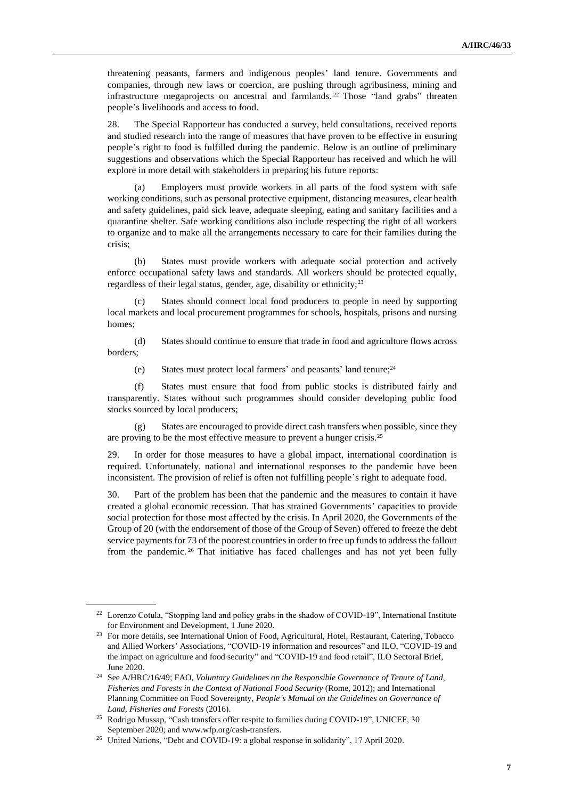threatening peasants, farmers and indigenous peoples' land tenure. Governments and companies, through new laws or coercion, are pushing through agribusiness, mining and infrastructure megaprojects on ancestral and farmlands. <sup>22</sup> Those "land grabs" threaten people's livelihoods and access to food.

28. The Special Rapporteur has conducted a survey, held consultations, received reports and studied research into the range of measures that have proven to be effective in ensuring people's right to food is fulfilled during the pandemic. Below is an outline of preliminary suggestions and observations which the Special Rapporteur has received and which he will explore in more detail with stakeholders in preparing his future reports:

(a) Employers must provide workers in all parts of the food system with safe working conditions, such as personal protective equipment, distancing measures, clear health and safety guidelines, paid sick leave, adequate sleeping, eating and sanitary facilities and a quarantine shelter. Safe working conditions also include respecting the right of all workers to organize and to make all the arrangements necessary to care for their families during the crisis;

(b) States must provide workers with adequate social protection and actively enforce occupational safety laws and standards. All workers should be protected equally, regardless of their legal status, gender, age, disability or ethnicity;<sup>23</sup>

(c) States should connect local food producers to people in need by supporting local markets and local procurement programmes for schools, hospitals, prisons and nursing homes;

(d) States should continue to ensure that trade in food and agriculture flows across borders;

(e) States must protect local farmers' and peasants' land tenure;<sup>24</sup>

(f) States must ensure that food from public stocks is distributed fairly and transparently. States without such programmes should consider developing public food stocks sourced by local producers;

(g) States are encouraged to provide direct cash transfers when possible, since they are proving to be the most effective measure to prevent a hunger crisis.<sup>25</sup>

29. In order for those measures to have a global impact, international coordination is required. Unfortunately, national and international responses to the pandemic have been inconsistent. The provision of relief is often not fulfilling people's right to adequate food.

30. Part of the problem has been that the pandemic and the measures to contain it have created a global economic recession. That has strained Governments' capacities to provide social protection for those most affected by the crisis. In April 2020, the Governments of the Group of 20 (with the endorsement of those of the Group of Seven) offered to freeze the debt service payments for 73 of the poorest countries in order to free up funds to address the fallout from the pandemic. <sup>26</sup> That initiative has faced challenges and has not yet been fully

<sup>&</sup>lt;sup>22</sup> Lorenzo Cotula, "Stopping land and policy grabs in the shadow of COVID-19", International Institute for Environment and Development, 1 June 2020.

<sup>&</sup>lt;sup>23</sup> For more details, see International Union of Food, Agricultural, Hotel, Restaurant, Catering, Tobacco and Allied Workers' Associations, "COVID-19 information and resources" and ILO, "COVID-19 and the impact on agriculture and food security" and "COVID-19 and food retail", ILO Sectoral Brief, June 2020.

<sup>24</sup> See A/HRC/16/49; FAO, *Voluntary Guidelines on the Responsible Governance of Tenure of Land, Fisheries and Forests in the Context of National Food Security* (Rome, 2012); and International Planning Committee on Food Sovereignty, *People's Manual on the Guidelines on Governance of Land, Fisheries and Forests* (2016).

<sup>&</sup>lt;sup>25</sup> Rodrigo Mussap, "Cash transfers offer respite to families during COVID-19", UNICEF, 30 September 2020; and www.wfp.org/cash-transfers.

<sup>26</sup> United Nations, "Debt and COVID-19: a global response in solidarity", 17 April 2020.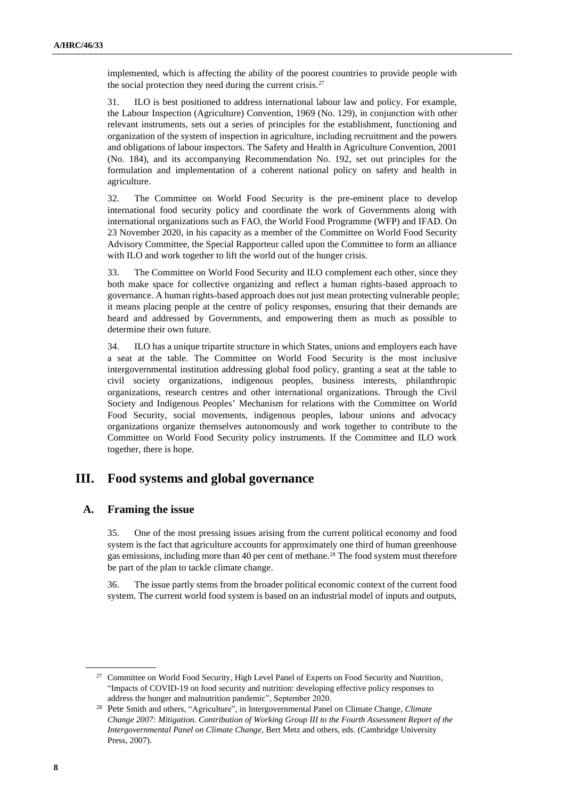implemented, which is affecting the ability of the poorest countries to provide people with the social protection they need during the current crisis.<sup>27</sup>

31. ILO is best positioned to address international labour law and policy. For example, the Labour Inspection (Agriculture) Convention, 1969 (No. 129), in conjunction with other relevant instruments, sets out a series of principles for the establishment, functioning and organization of the system of inspection in agriculture, including recruitment and the powers and obligations of labour inspectors. The Safety and Health in Agriculture Convention, 2001 (No. 184), and its accompanying Recommendation No. 192, set out principles for the formulation and implementation of a coherent national policy on safety and health in agriculture.

32. The Committee on World Food Security is the pre-eminent place to develop international food security policy and coordinate the work of Governments along with international organizations such as FAO, the World Food Programme (WFP) and IFAD. On 23 November 2020, in his capacity as a member of the Committee on World Food Security Advisory Committee, the Special Rapporteur called upon the Committee to form an alliance with ILO and work together to lift the world out of the hunger crisis.

33. The Committee on World Food Security and ILO complement each other, since they both make space for collective organizing and reflect a human rights-based approach to governance. A human rights-based approach does not just mean protecting vulnerable people; it means placing people at the centre of policy responses, ensuring that their demands are heard and addressed by Governments, and empowering them as much as possible to determine their own future.

34. ILO has a unique tripartite structure in which States, unions and employers each have a seat at the table. The Committee on World Food Security is the most inclusive intergovernmental institution addressing global food policy, granting a seat at the table to civil society organizations, indigenous peoples, business interests, philanthropic organizations, research centres and other international organizations. Through the Civil Society and Indigenous Peoples' Mechanism for relations with the Committee on World Food Security, social movements, indigenous peoples, labour unions and advocacy organizations organize themselves autonomously and work together to contribute to the Committee on World Food Security policy instruments. If the Committee and ILO work together, there is hope.

## **III. Food systems and global governance**

#### **A. Framing the issue**

35. One of the most pressing issues arising from the current political economy and food system is the fact that agriculture accounts for approximately one third of human greenhouse gas emissions, including more than 40 per cent of methane.<sup>28</sup> The food system must therefore be part of the plan to tackle climate change.

36. The issue partly stems from the broader political economic context of the current food system. The current world food system is based on an industrial model of inputs and outputs,

<sup>&</sup>lt;sup>27</sup> Committee on World Food Security, High Level Panel of Experts on Food Security and Nutrition, "Impacts of COVID-19 on food security and nutrition: developing effective policy responses to address the hunger and malnutrition pandemic", September 2020.

<sup>28</sup> Pete Smith and others, "Agriculture", in Intergovernmental Panel on Climate Change, *Climate Change 2007: Mitigation. Contribution of Working Group III to the Fourth Assessment Report of the Intergovernmental Panel on Climate Change*, Bert Metz and others, eds. (Cambridge University Press, 2007).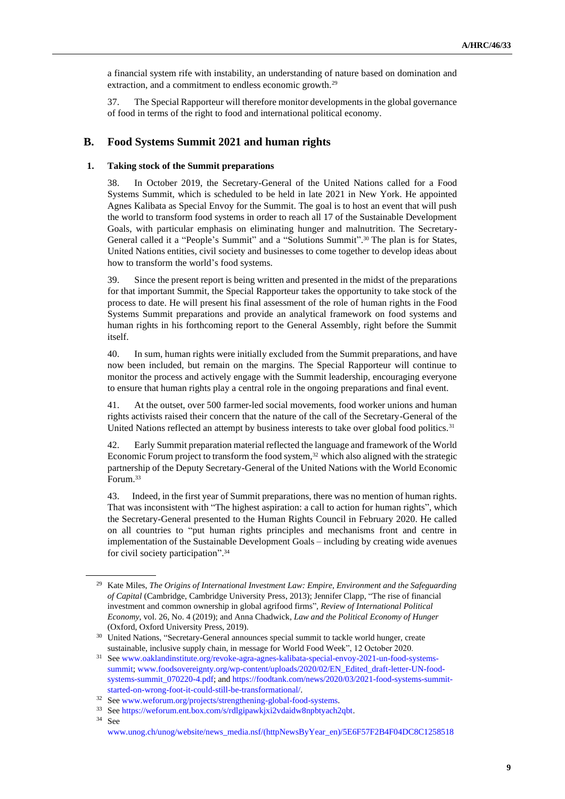a financial system rife with instability, an understanding of nature based on domination and extraction, and a commitment to endless economic growth.<sup>29</sup>

37. The Special Rapporteur will therefore monitor developments in the global governance of food in terms of the right to food and international political economy.

#### **B. Food Systems Summit 2021 and human rights**

#### **1. Taking stock of the Summit preparations**

38. In October 2019, the Secretary-General of the United Nations called for a Food Systems Summit, which is scheduled to be held in late 2021 in New York. He appointed Agnes Kalibata as Special Envoy for the Summit. The goal is to host an event that will push the world to transform food systems in order to reach all 17 of the Sustainable Development Goals, with particular emphasis on eliminating hunger and malnutrition. The Secretary-General called it a "People's Summit" and a "Solutions Summit". <sup>30</sup> The plan is for States, United Nations entities, civil society and businesses to come together to develop ideas about how to transform the world's food systems.

39. Since the present report is being written and presented in the midst of the preparations for that important Summit, the Special Rapporteur takes the opportunity to take stock of the process to date. He will present his final assessment of the role of human rights in the Food Systems Summit preparations and provide an analytical framework on food systems and human rights in his forthcoming report to the General Assembly, right before the Summit itself.

40. In sum, human rights were initially excluded from the Summit preparations, and have now been included, but remain on the margins. The Special Rapporteur will continue to monitor the process and actively engage with the Summit leadership, encouraging everyone to ensure that human rights play a central role in the ongoing preparations and final event.

41. At the outset, over 500 farmer-led social movements, food worker unions and human rights activists raised their concern that the nature of the call of the Secretary-General of the United Nations reflected an attempt by business interests to take over global food politics.<sup>31</sup>

42. Early Summit preparation material reflected the language and framework of the World Economic Forum project to transform the food system,<sup>32</sup> which also aligned with the strategic partnership of the Deputy Secretary-General of the United Nations with the World Economic Forum.<sup>33</sup>

43. Indeed, in the first year of Summit preparations, there was no mention of human rights. That was inconsistent with "The highest aspiration: a call to action for human rights", which the Secretary-General presented to the Human Rights Council in February 2020. He called on all countries to "put human rights principles and mechanisms front and centre in implementation of the Sustainable Development Goals – including by creating wide avenues for civil society participation". 34

<sup>29</sup> Kate Miles, *The Origins of International Investment Law: Empire, Environment and the Safeguarding of Capital* (Cambridge, Cambridge University Press, 2013); Jennifer Clapp, "The rise of financial investment and common ownership in global agrifood firms", *Review of International Political Economy*, vol. 26, No. 4 (2019); and Anna Chadwick, *Law and the Political Economy of Hunger* (Oxford, Oxford University Press, 2019).

<sup>&</sup>lt;sup>30</sup> United Nations, "Secretary-General announces special summit to tackle world hunger, create sustainable, inclusive supply chain, in message for World Food Week", 12 October 2020.

<sup>31</sup> Se[e www.oaklandinstitute.org/revoke-agra-agnes-kalibata-special-envoy-2021-un-food-systems](http://www.oaklandinstitute.org/revoke-agra-agnes-kalibata-special-envoy-2021-un-food-systems-summit)[summit;](http://www.oaklandinstitute.org/revoke-agra-agnes-kalibata-special-envoy-2021-un-food-systems-summit) [www.foodsovereignty.org/wp-content/uploads/2020/02/EN\\_Edited\\_draft-letter-UN-food](http://www.foodsovereignty.org/wp-content/uploads/2020/02/EN_Edited_draft-letter-UN-food-systems-summit_070220-4.pdf)[systems-summit\\_070220-4.pdf;](http://www.foodsovereignty.org/wp-content/uploads/2020/02/EN_Edited_draft-letter-UN-food-systems-summit_070220-4.pdf) and [https://foodtank.com/news/2020/03/2021-food-systems-summit](https://foodtank.com/news/2020/03/2021-food-systems-summit-started-on-wrong-foot-it-could-still-be-transformational/)[started-on-wrong-foot-it-could-still-be-transformational/.](https://foodtank.com/news/2020/03/2021-food-systems-summit-started-on-wrong-foot-it-could-still-be-transformational/)

<sup>32</sup> [See www.weforum.org/projects/strengthening-global-food-systems.](file:///C:/Users/Jamshid.Gaziyev/AppData/Local/Microsoft/Windows/INetCache/Content.Outlook/342ZWHNQ/See%20www.weforum.org/projects/strengthening-global-food-systems)

<sup>33</sup> Se[e https://weforum.ent.box.com/s/rdlgipawkjxi2vdaidw8npbtyach2qbt.](https://weforum.ent.box.com/s/rdlgipawkjxi2vdaidw8npbtyach2qbt)

<sup>34</sup> See

[www.unog.ch/unog/website/news\\_media.nsf/\(httpNewsByYear\\_en\)/5E6F57F2B4F04DC8C1258518](http://www.unog.ch/unog/website/news_media.nsf/(httpNewsByYear_en)/5E6F57F2B4F04DC8C12585180034FD14?OpenDocument)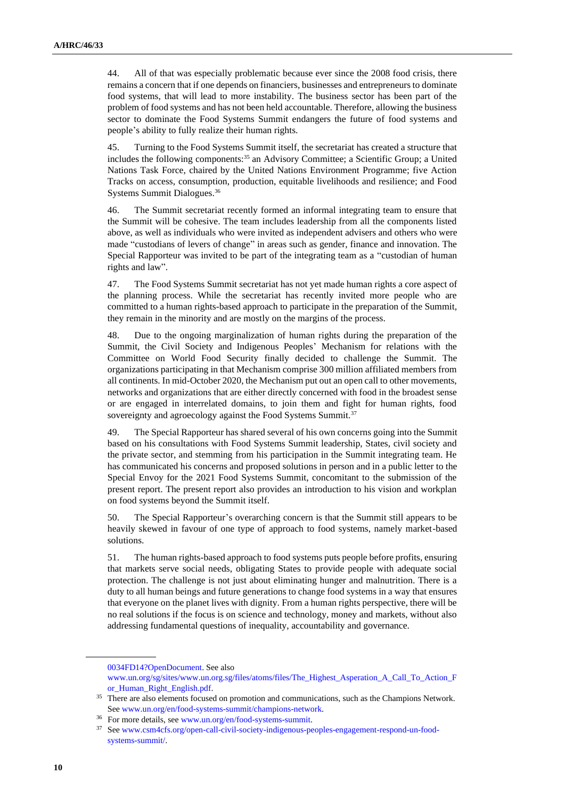44. All of that was especially problematic because ever since the 2008 food crisis, there remains a concern that if one depends on financiers, businesses and entrepreneurs to dominate food systems, that will lead to more instability. The business sector has been part of the problem of food systems and has not been held accountable. Therefore, allowing the business sector to dominate the Food Systems Summit endangers the future of food systems and people's ability to fully realize their human rights.

45. Turning to the Food Systems Summit itself, the secretariat has created a structure that includes the following components:<sup>35</sup> an Advisory Committee; a Scientific Group; a United Nations Task Force, chaired by the United Nations Environment Programme; five Action Tracks on access, consumption, production, equitable livelihoods and resilience; and Food Systems Summit Dialogues.<sup>36</sup>

46. The Summit secretariat recently formed an informal integrating team to ensure that the Summit will be cohesive. The team includes leadership from all the components listed above, as well as individuals who were invited as independent advisers and others who were made "custodians of levers of change" in areas such as gender, finance and innovation. The Special Rapporteur was invited to be part of the integrating team as a "custodian of human rights and law".

47. The Food Systems Summit secretariat has not yet made human rights a core aspect of the planning process. While the secretariat has recently invited more people who are committed to a human rights-based approach to participate in the preparation of the Summit, they remain in the minority and are mostly on the margins of the process.

48. Due to the ongoing marginalization of human rights during the preparation of the Summit, the Civil Society and Indigenous Peoples' Mechanism for relations with the Committee on World Food Security finally decided to challenge the Summit. The organizations participating in that Mechanism comprise 300 million affiliated members from all continents. In mid-October 2020, the Mechanism put out an open call to other movements, networks and organizations that are either directly concerned with food in the broadest sense or are engaged in interrelated domains, to join them and fight for human rights, food sovereignty and agroecology against the Food Systems Summit.<sup>37</sup>

49. The Special Rapporteur has shared several of his own concerns going into the Summit based on his consultations with Food Systems Summit leadership, States, civil society and the private sector, and stemming from his participation in the Summit integrating team. He has communicated his concerns and proposed solutions in person and in a public letter to the Special Envoy for the 2021 Food Systems Summit, concomitant to the submission of the present report. The present report also provides an introduction to his vision and workplan on food systems beyond the Summit itself.

50. The Special Rapporteur's overarching concern is that the Summit still appears to be heavily skewed in favour of one type of approach to food systems, namely market-based solutions.

51. The human rights-based approach to food systems puts people before profits, ensuring that markets serve social needs, obligating States to provide people with adequate social protection. The challenge is not just about eliminating hunger and malnutrition. There is a duty to all human beings and future generations to change food systems in a way that ensures that everyone on the planet lives with dignity. From a human rights perspective, there will be no real solutions if the focus is on science and technology, money and markets, without also addressing fundamental questions of inequality, accountability and governance.

[<sup>0034</sup>FD14?OpenDocument.](http://www.unog.ch/unog/website/news_media.nsf/(httpNewsByYear_en)/5E6F57F2B4F04DC8C12585180034FD14?OpenDocument) See also

[www.un.org/sg/sites/www.un.org.sg/files/atoms/files/The\\_Highest\\_Asperation\\_A\\_Call\\_To\\_Action\\_F](http://www.un.org/sg/sites/www.un.org.sg/files/atoms/files/The_Highest_Asperation_A_Call_To_Action_For_Human_Right_English.pdf) [or\\_Human\\_Right\\_English.pdf.](http://www.un.org/sg/sites/www.un.org.sg/files/atoms/files/The_Highest_Asperation_A_Call_To_Action_For_Human_Right_English.pdf)

<sup>&</sup>lt;sup>35</sup> There are also elements focused on promotion and communications, such as the Champions Network. Se[e www.un.org/en/food-systems-summit/champions-network.](http://www.un.org/en/food-systems-summit/champions-network)

<sup>36</sup> For more details, se[e www.un.org/en/food-systems-summit.](http://www.un.org/en/food-systems-summit)

<sup>37</sup> Se[e www.csm4cfs.org/open-call-civil-society-indigenous-peoples-engagement-respond-un-food](http://www.csm4cfs.org/open-call-civil-society-indigenous-peoples-engagement-respond-un-food-systems-summit/)[systems-summit/.](http://www.csm4cfs.org/open-call-civil-society-indigenous-peoples-engagement-respond-un-food-systems-summit/)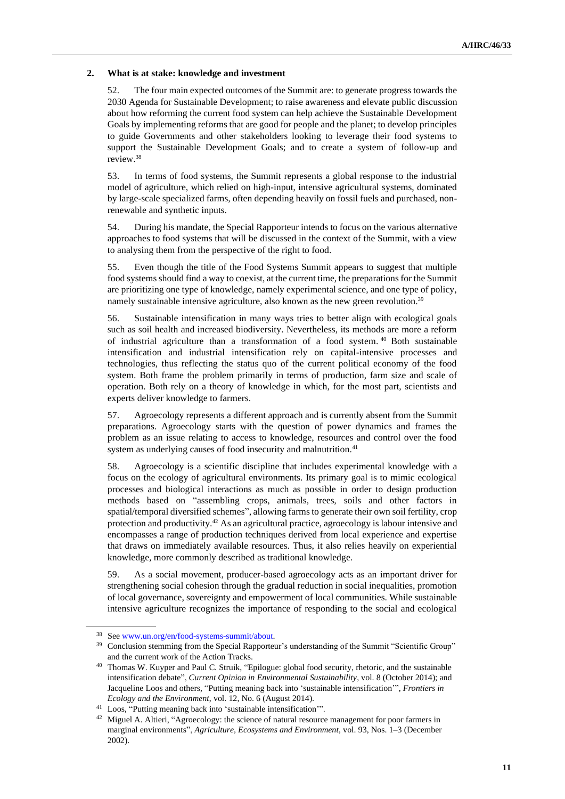#### **2. What is at stake: knowledge and investment**

52. The four main expected outcomes of the Summit are: to generate progress towards the 2030 Agenda for Sustainable Development; to raise awareness and elevate public discussion about how reforming the current food system can help achieve the Sustainable Development Goals by implementing reforms that are good for people and the planet; to develop principles to guide Governments and other stakeholders looking to leverage their food systems to support the Sustainable Development Goals; and to create a system of follow-up and review.<sup>38</sup>

53. In terms of food systems, the Summit represents a global response to the industrial model of agriculture, which relied on high-input, intensive agricultural systems, dominated by large-scale specialized farms, often depending heavily on fossil fuels and purchased, nonrenewable and synthetic inputs.

54. During his mandate, the Special Rapporteur intends to focus on the various alternative approaches to food systems that will be discussed in the context of the Summit, with a view to analysing them from the perspective of the right to food.

55. Even though the title of the Food Systems Summit appears to suggest that multiple food systems should find a way to coexist, at the current time, the preparations for the Summit are prioritizing one type of knowledge, namely experimental science, and one type of policy, namely sustainable intensive agriculture, also known as the new green revolution.<sup>39</sup>

56. Sustainable intensification in many ways tries to better align with ecological goals such as soil health and increased biodiversity. Nevertheless, its methods are more a reform of industrial agriculture than a transformation of a food system. <sup>40</sup> Both sustainable intensification and industrial intensification rely on capital-intensive processes and technologies, thus reflecting the status quo of the current political economy of the food system. Both frame the problem primarily in terms of production, farm size and scale of operation. Both rely on a theory of knowledge in which, for the most part, scientists and experts deliver knowledge to farmers.

57. Agroecology represents a different approach and is currently absent from the Summit preparations. Agroecology starts with the question of power dynamics and frames the problem as an issue relating to access to knowledge, resources and control over the food system as underlying causes of food insecurity and malnutrition.<sup>41</sup>

58. Agroecology is a scientific discipline that includes experimental knowledge with a focus on the ecology of agricultural environments. Its primary goal is to mimic ecological processes and biological interactions as much as possible in order to design production methods based on "assembling crops, animals, trees, soils and other factors in spatial/temporal diversified schemes", allowing farms to generate their own soil fertility, crop protection and productivity.<sup>42</sup> As an agricultural practice, agroecology is labour intensive and encompasses a range of production techniques derived from local experience and expertise that draws on immediately available resources. Thus, it also relies heavily on experiential knowledge, more commonly described as traditional knowledge.

59. As a social movement, producer-based agroecology acts as an important driver for strengthening social cohesion through the gradual reduction in social inequalities, promotion of local governance, sovereignty and empowerment of local communities. While sustainable intensive agriculture recognizes the importance of responding to the social and ecological

<sup>38</sup> Se[e www.un.org/en/food-systems-summit/about.](http://www.un.org/en/food-systems-summit/about)

<sup>&</sup>lt;sup>39</sup> Conclusion stemming from the Special Rapporteur's understanding of the Summit "Scientific Group" and the current work of the Action Tracks.

<sup>40</sup> Thomas W. Kuyper and Paul C. Struik, "Epilogue: global food security, rhetoric, and the sustainable intensification debate", *Current Opinion in Environmental Sustainability*, vol. 8 (October 2014); and Jacqueline Loos and others, "Putting meaning back into 'sustainable intensification'", *Frontiers in Ecology and the Environment*, vol. 12, No. 6 (August 2014).

<sup>41</sup> Loos, "Putting meaning back into 'sustainable intensification'".

<sup>&</sup>lt;sup>42</sup> Miguel A. Altieri, "Agroecology: the science of natural resource management for poor farmers in marginal environments", *Agriculture, Ecosystems and Environment*, vol. 93, Nos. 1–3 (December 2002).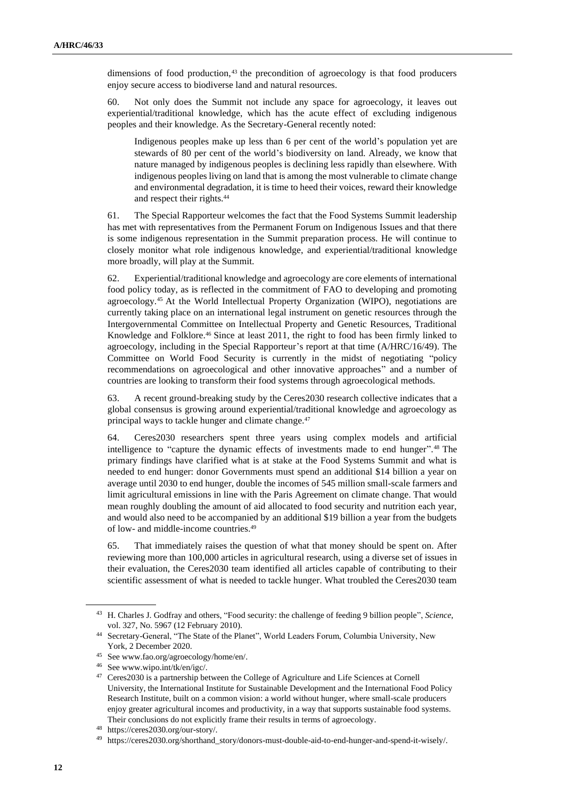dimensions of food production,<sup>43</sup> the precondition of agroecology is that food producers enjoy secure access to biodiverse land and natural resources.

60. Not only does the Summit not include any space for agroecology, it leaves out experiential/traditional knowledge, which has the acute effect of excluding indigenous peoples and their knowledge. As the Secretary-General recently noted:

Indigenous peoples make up less than 6 per cent of the world's population yet are stewards of 80 per cent of the world's biodiversity on land. Already, we know that nature managed by indigenous peoples is declining less rapidly than elsewhere. With indigenous peoples living on land that is among the most vulnerable to climate change and environmental degradation, it is time to heed their voices, reward their knowledge and respect their rights.<sup>44</sup>

61. The Special Rapporteur welcomes the fact that the Food Systems Summit leadership has met with representatives from the Permanent Forum on Indigenous Issues and that there is some indigenous representation in the Summit preparation process. He will continue to closely monitor what role indigenous knowledge, and experiential/traditional knowledge more broadly, will play at the Summit.

62. Experiential/traditional knowledge and agroecology are core elements of international food policy today, as is reflected in the commitment of FAO to developing and promoting agroecology.<sup>45</sup> At the World Intellectual Property Organization (WIPO), negotiations are currently taking place on an international legal instrument on genetic resources through the Intergovernmental Committee on Intellectual Property and Genetic Resources, Traditional Knowledge and Folklore.<sup>46</sup> Since at least 2011, the right to food has been firmly linked to agroecology, including in the Special Rapporteur's report at that time (A/HRC/16/49). The Committee on World Food Security is currently in the midst of negotiating "policy recommendations on agroecological and other innovative approaches" and a number of countries are looking to transform their food systems through agroecological methods.

63. A recent ground-breaking study by the Ceres2030 research collective indicates that a global consensus is growing around experiential/traditional knowledge and agroecology as principal ways to tackle hunger and climate change.<sup>47</sup>

64. Ceres2030 researchers spent three years using complex models and artificial intelligence to "capture the dynamic effects of investments made to end hunger". <sup>48</sup> The primary findings have clarified what is at stake at the Food Systems Summit and what is needed to end hunger: donor Governments must spend an additional \$14 billion a year on average until 2030 to end hunger, double the incomes of 545 million small-scale farmers and limit agricultural emissions in line with the Paris Agreement on climate change. That would mean roughly doubling the amount of aid allocated to food security and nutrition each year, and would also need to be accompanied by an additional \$19 billion a year from the budgets of low- and middle-income countries.<sup>49</sup>

65. That immediately raises the question of what that money should be spent on. After reviewing more than 100,000 articles in agricultural research, using a diverse set of issues in their evaluation, the Ceres2030 team identified all articles capable of contributing to their scientific assessment of what is needed to tackle hunger. What troubled the Ceres2030 team

<sup>43</sup> H. Charles J. Godfray and others, "Food security: the challenge of feeding 9 billion people", *Science*, vol. 327, No. 5967 (12 February 2010).

<sup>44</sup> Secretary-General, "The State of the Planet", World Leaders Forum, Columbia University, New York, 2 December 2020.

<sup>45</sup> See www.fao.org/agroecology/home/en/.

<sup>46</sup> See www.wipo.int/tk/en/igc/.

<sup>&</sup>lt;sup>47</sup> Ceres2030 is a partnership between the College of Agriculture and Life Sciences at Cornell University, the International Institute for Sustainable Development and the International Food Policy Research Institute, built on a common vision: a world without hunger, where small-scale producers enjoy greater agricultural incomes and productivity, in a way that supports sustainable food systems. Their conclusions do not explicitly frame their results in terms of agroecology.

<sup>48</sup> https://ceres2030.org/our-story/.

<sup>49</sup> https://ceres2030.org/shorthand\_story/donors-must-double-aid-to-end-hunger-and-spend-it-wisely/.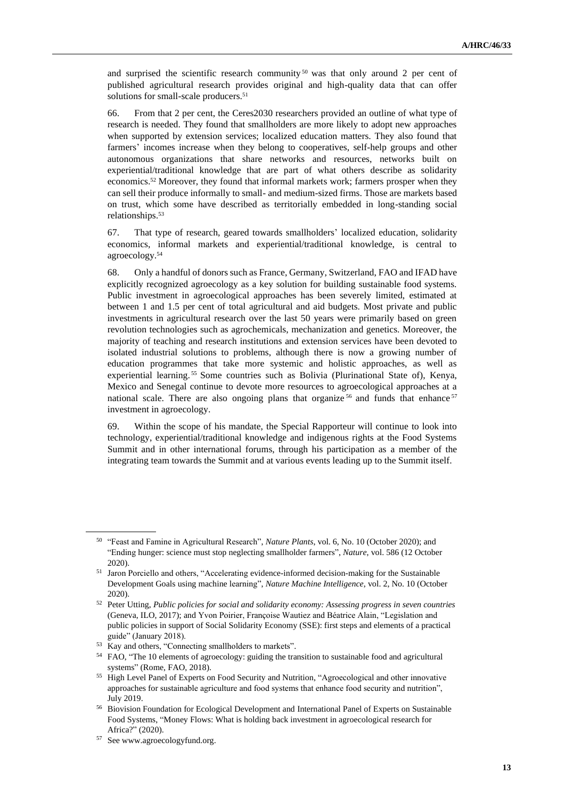and surprised the scientific research community  $50$  was that only around 2 per cent of published agricultural research provides original and high-quality data that can offer solutions for small-scale producers.<sup>51</sup>

66. From that 2 per cent, the Ceres2030 researchers provided an outline of what type of research is needed. They found that smallholders are more likely to adopt new approaches when supported by extension services; localized education matters. They also found that farmers' incomes increase when they belong to cooperatives, self-help groups and other autonomous organizations that share networks and resources, networks built on experiential/traditional knowledge that are part of what others describe as solidarity economics.<sup>52</sup> Moreover, they found that informal markets work; farmers prosper when they can sell their produce informally to small- and medium-sized firms. Those are markets based on trust, which some have described as territorially embedded in long-standing social relationships.<sup>53</sup>

67. That type of research, geared towards smallholders' localized education, solidarity economics, informal markets and experiential/traditional knowledge, is central to agroecology.<sup>54</sup>

68. Only a handful of donors such as France, Germany, Switzerland, FAO and IFAD have explicitly recognized agroecology as a key solution for building sustainable food systems. Public investment in agroecological approaches has been severely limited, estimated at between 1 and 1.5 per cent of total agricultural and aid budgets. Most private and public investments in agricultural research over the last 50 years were primarily based on green revolution technologies such as agrochemicals, mechanization and genetics. Moreover, the majority of teaching and research institutions and extension services have been devoted to isolated industrial solutions to problems, although there is now a growing number of education programmes that take more systemic and holistic approaches, as well as experiential learning. <sup>55</sup> Some countries such as Bolivia (Plurinational State of), Kenya, Mexico and Senegal continue to devote more resources to agroecological approaches at a national scale. There are also ongoing plans that organize  $56$  and funds that enhance  $57$ investment in agroecology.

69. Within the scope of his mandate, the Special Rapporteur will continue to look into technology, experiential/traditional knowledge and indigenous rights at the Food Systems Summit and in other international forums, through his participation as a member of the integrating team towards the Summit and at various events leading up to the Summit itself.

<sup>50</sup> "Feast and Famine in Agricultural Research", *Nature Plants*, vol. 6, No. 10 (October 2020); and "Ending hunger: science must stop neglecting smallholder farmers", *Nature*, vol. 586 (12 October 2020).

<sup>51</sup> Jaron Porciello and others, "Accelerating evidence-informed decision-making for the Sustainable Development Goals using machine learning", *Nature Machine Intelligence*, vol. 2, No. 10 (October 2020).

<sup>52</sup> Peter Utting, *Public policies for social and solidarity economy: Assessing progress in seven countries*  (Geneva, ILO, 2017); and Yvon Poirier, Françoise Wautiez and Béatrice Alain, "Legislation and public policies in support of Social Solidarity Economy (SSE): first steps and elements of a practical guide" (January 2018).

<sup>53</sup> Kay and others, "Connecting smallholders to markets".

<sup>54</sup> FAO, "The 10 elements of agroecology: guiding the transition to sustainable food and agricultural systems" (Rome, FAO, 2018).

<sup>55</sup> High Level Panel of Experts on Food Security and Nutrition, "Agroecological and other innovative approaches for sustainable agriculture and food systems that enhance food security and nutrition", July 2019.

<sup>56</sup> Biovision Foundation for Ecological Development and International Panel of Experts on Sustainable Food Systems, "Money Flows: What is holding back investment in agroecological research for Africa?" (2020).

<sup>57</sup> See www.agroecologyfund.org.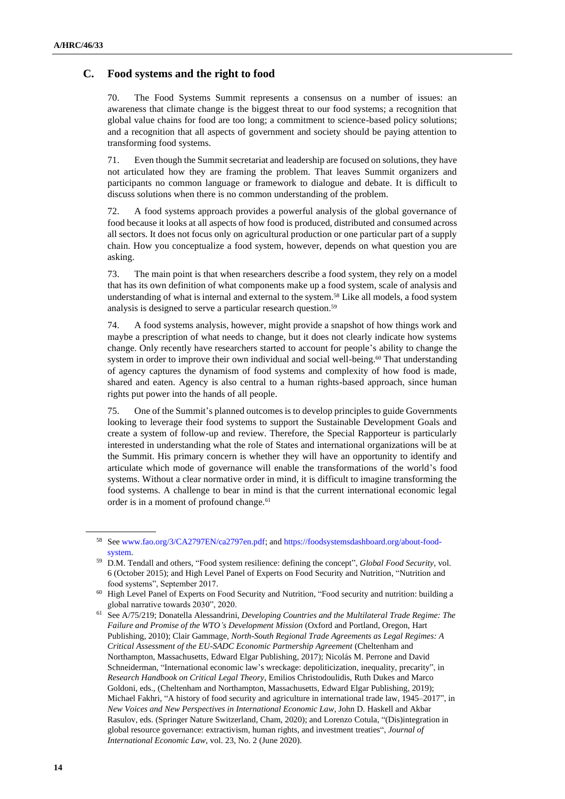#### **C. Food systems and the right to food**

70. The Food Systems Summit represents a consensus on a number of issues: an awareness that climate change is the biggest threat to our food systems; a recognition that global value chains for food are too long; a commitment to science-based policy solutions; and a recognition that all aspects of government and society should be paying attention to transforming food systems.

71. Even though the Summit secretariat and leadership are focused on solutions, they have not articulated how they are framing the problem. That leaves Summit organizers and participants no common language or framework to dialogue and debate. It is difficult to discuss solutions when there is no common understanding of the problem.

72. A food systems approach provides a powerful analysis of the global governance of food because it looks at all aspects of how food is produced, distributed and consumed across all sectors. It does not focus only on agricultural production or one particular part of a supply chain. How you conceptualize a food system, however, depends on what question you are asking.

73. The main point is that when researchers describe a food system, they rely on a model that has its own definition of what components make up a food system, scale of analysis and understanding of what is internal and external to the system.<sup>58</sup> Like all models, a food system analysis is designed to serve a particular research question.<sup>59</sup>

74. A food systems analysis, however, might provide a snapshot of how things work and maybe a prescription of what needs to change, but it does not clearly indicate how systems change. Only recently have researchers started to account for people's ability to change the system in order to improve their own individual and social well-being.<sup>60</sup> That understanding of agency captures the dynamism of food systems and complexity of how food is made, shared and eaten. Agency is also central to a human rights-based approach, since human rights put power into the hands of all people.

75. One of the Summit's planned outcomes is to develop principles to guide Governments looking to leverage their food systems to support the Sustainable Development Goals and create a system of follow-up and review. Therefore, the Special Rapporteur is particularly interested in understanding what the role of States and international organizations will be at the Summit. His primary concern is whether they will have an opportunity to identify and articulate which mode of governance will enable the transformations of the world's food systems. Without a clear normative order in mind, it is difficult to imagine transforming the food systems. A challenge to bear in mind is that the current international economic legal order is in a moment of profound change.<sup>61</sup>

<sup>58</sup> Se[e www.fao.org/3/CA2797EN/ca2797en.pdf;](http://www.fao.org/3/CA2797EN/ca2797en.pdf) an[d https://foodsystemsdashboard.org/about-food](https://foodsystemsdashboard.org/about-food-system)[system.](https://foodsystemsdashboard.org/about-food-system)

<sup>59</sup> D.M. Tendall and others, "Food system resilience: defining the concept", *Global Food Security*, vol. 6 (October 2015); and High Level Panel of Experts on Food Security and Nutrition, "Nutrition and food systems", September 2017.

<sup>60</sup> High Level Panel of Experts on Food Security and Nutrition, "Food security and nutrition: building a global narrative towards 2030", 2020.

<sup>61</sup> See A/75/219; Donatella Alessandrini, *Developing Countries and the Multilateral Trade Regime: The Failure and Promise of the WTO's Development Mission* (Oxford and Portland, Oregon, Hart Publishing, 2010); Clair Gammage, *North-South Regional Trade Agreements as Legal Regimes: A Critical Assessment of the EU-SADC Economic Partnership Agreement* (Cheltenham and Northampton, Massachusetts, Edward Elgar Publishing, 2017); Nicolás M. Perrone and David Schneiderman, "International economic law's wreckage: depoliticization, inequality, precarity", in *Research Handbook on Critical Legal Theory*, Emilios Christodoulidis, Ruth Dukes and Marco Goldoni, eds., (Cheltenham and Northampton, Massachusetts, Edward Elgar Publishing, 2019); Michael Fakhri, "A history of food security and agriculture in international trade law, 1945–2017", in *New Voices and New Perspectives in International Economic Law*, John D. Haskell and Akbar Rasulov, eds. (Springer Nature Switzerland, Cham, 2020); and Lorenzo Cotula, "(Dis)integration in global resource governance: extractivism, human rights, and investment treaties", *Journal of International Economic Law*, vol. 23, No. 2 (June 2020).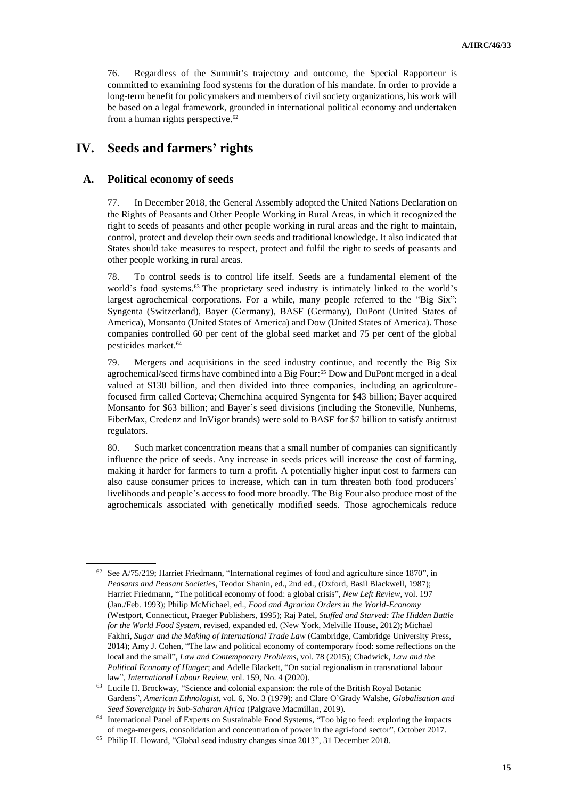76. Regardless of the Summit's trajectory and outcome, the Special Rapporteur is committed to examining food systems for the duration of his mandate. In order to provide a long-term benefit for policymakers and members of civil society organizations, his work will be based on a legal framework, grounded in international political economy and undertaken from a human rights perspective.<sup>62</sup>

## **IV. Seeds and farmers' rights**

#### **A. Political economy of seeds**

77. In December 2018, the General Assembly adopted the United Nations Declaration on the Rights of Peasants and Other People Working in Rural Areas, in which it recognized the right to seeds of peasants and other people working in rural areas and the right to maintain, control, protect and develop their own seeds and traditional knowledge. It also indicated that States should take measures to respect, protect and fulfil the right to seeds of peasants and other people working in rural areas.

78. To control seeds is to control life itself. Seeds are a fundamental element of the world's food systems.<sup>63</sup> The proprietary seed industry is intimately linked to the world's largest agrochemical corporations. For a while, many people referred to the "Big Six": Syngenta (Switzerland), Bayer (Germany), BASF (Germany), DuPont (United States of America), Monsanto (United States of America) and Dow (United States of America). Those companies controlled 60 per cent of the global seed market and 75 per cent of the global pesticides market.<sup>64</sup>

79. Mergers and acquisitions in the seed industry continue, and recently the Big Six agrochemical/seed firms have combined into a Big Four:<sup>65</sup> Dow and DuPont merged in a deal valued at \$130 billion, and then divided into three companies, including an agriculturefocused firm called Corteva; Chemchina acquired Syngenta for \$43 billion; Bayer acquired Monsanto for \$63 billion; and Bayer's seed divisions (including the Stoneville, Nunhems, FiberMax, Credenz and InVigor brands) were sold to BASF for \$7 billion to satisfy antitrust regulators.

80. Such market concentration means that a small number of companies can significantly influence the price of seeds. Any increase in seeds prices will increase the cost of farming, making it harder for farmers to turn a profit. A potentially higher input cost to farmers can also cause consumer prices to increase, which can in turn threaten both food producers' livelihoods and people's access to food more broadly. The Big Four also produce most of the agrochemicals associated with genetically modified seeds. Those agrochemicals reduce

<sup>62</sup> See A/75/219; Harriet Friedmann, "International regimes of food and agriculture since 1870", in *Peasants and Peasant Societies*, Teodor Shanin, ed., 2nd ed., (Oxford, Basil Blackwell, 1987); Harriet Friedmann, "The political economy of food: a global crisis", *New Left Review*, vol. 197 (Jan./Feb. 1993); Philip McMichael, ed., *Food and Agrarian Orders in the World-Economy* (Westport, Connecticut, Praeger Publishers, 1995); Raj Patel, *Stuffed and Starved: The Hidden Battle for the World Food System*, revised, expanded ed. (New York, Melville House, 2012); Michael Fakhri, *Sugar and the Making of International Trade Law* (Cambridge, Cambridge University Press, 2014); Amy J. Cohen, "The law and political economy of contemporary food: some reflections on the local and the small", *Law and Contemporary Problems*, vol. 78 (2015); Chadwick, *Law and the Political Economy of Hunger*; and Adelle Blackett, "On social regionalism in transnational labour law", *International Labour Review*, vol. 159, No. 4 (2020).

<sup>63</sup> Lucile H. Brockway, "Science and colonial expansion: the role of the British Royal Botanic Gardens", *American Ethnologist*, vol. 6, No. 3 (1979); and Clare O'Grady Walshe, *Globalisation and Seed Sovereignty in Sub-Saharan Africa* (Palgrave Macmillan, 2019).

<sup>64</sup> International Panel of Experts on Sustainable Food Systems, "Too big to feed: exploring the impacts of mega-mergers, consolidation and concentration of power in the agri-food sector", October 2017.

<sup>65</sup> [Philip H. Howard, "Global seed industry changes since 2013", 3](file:///C:/Users/Jamshid.Gaziyev/AppData/Local/Microsoft/Windows/INetCache/Content.Outlook/342ZWHNQ/Philip%20H.%20Howard,)1 December 2018.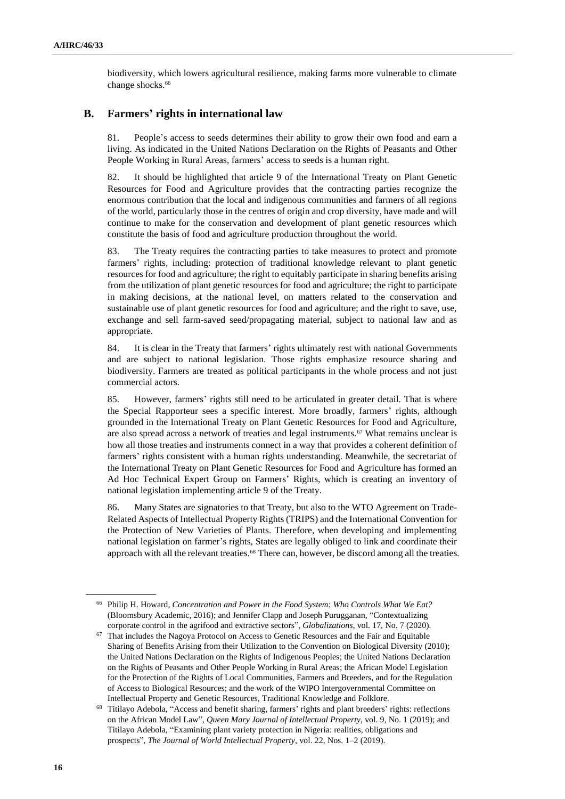biodiversity, which lowers agricultural resilience, making farms more vulnerable to climate change shocks.<sup>66</sup>

#### **B. Farmers' rights in international law**

81. People's access to seeds determines their ability to grow their own food and earn a living. As indicated in the United Nations Declaration on the Rights of Peasants and Other People Working in Rural Areas, farmers' access to seeds is a human right.

82. It should be highlighted that article 9 of the International Treaty on Plant Genetic Resources for Food and Agriculture provides that the contracting parties recognize the enormous contribution that the local and indigenous communities and farmers of all regions of the world, particularly those in the centres of origin and crop diversity, have made and will continue to make for the conservation and development of plant genetic resources which constitute the basis of food and agriculture production throughout the world.

83. The Treaty requires the contracting parties to take measures to protect and promote farmers' rights, including: protection of traditional knowledge relevant to plant genetic resources for food and agriculture; the right to equitably participate in sharing benefits arising from the utilization of plant genetic resources for food and agriculture; the right to participate in making decisions, at the national level, on matters related to the conservation and sustainable use of plant genetic resources for food and agriculture; and the right to save, use, exchange and sell farm-saved seed/propagating material, subject to national law and as appropriate.

84. It is clear in the Treaty that farmers' rights ultimately rest with national Governments and are subject to national legislation. Those rights emphasize resource sharing and biodiversity. Farmers are treated as political participants in the whole process and not just commercial actors.

85. However, farmers' rights still need to be articulated in greater detail. That is where the Special Rapporteur sees a specific interest. More broadly, farmers' rights, although grounded in the International Treaty on Plant Genetic Resources for Food and Agriculture, are also spread across a network of treaties and legal instruments.<sup>67</sup> What remains unclear is how all those treaties and instruments connect in a way that provides a coherent definition of farmers' rights consistent with a human rights understanding. Meanwhile, the secretariat of the International Treaty on Plant Genetic Resources for Food and Agriculture has formed an Ad Hoc Technical Expert Group on Farmers' Rights, which is creating an inventory of national legislation implementing article 9 of the Treaty.

86. Many States are signatories to that Treaty, but also to the WTO Agreement on Trade-Related Aspects of Intellectual Property Rights (TRIPS) and the International Convention for the Protection of New Varieties of Plants. Therefore, when developing and implementing national legislation on farmer's rights, States are legally obliged to link and coordinate their approach with all the relevant treaties.<sup>68</sup> There can, however, be discord among all the treaties.

<sup>66</sup> Philip H. Howard, *Concentration and Power in the Food System: Who Controls What We Eat?* (Bloomsbury Academic, 2016); and Jennifer Clapp and Joseph Purugganan, "Contextualizing corporate control in the agrifood and extractive sectors", *Globalizations*, vol. 17, No. 7 (2020).

 $67$  That includes the Nagoya Protocol on Access to Genetic Resources and the Fair and Equitable Sharing of Benefits Arising from their Utilization to the Convention on Biological Diversity (2010); the United Nations Declaration on the Rights of Indigenous Peoples; the United Nations Declaration on the Rights of Peasants and Other People Working in Rural Areas; the African Model Legislation for the Protection of the Rights of Local Communities, Farmers and Breeders, and for the Regulation of Access to Biological Resources; and the work of the WIPO Intergovernmental Committee on Intellectual Property and Genetic Resources, Traditional Knowledge and Folklore.

<sup>68</sup> Titilayo Adebola, "Access and benefit sharing, farmers' rights and plant breeders' rights: reflections on the African Model Law", *Queen Mary Journal of Intellectual Property*, vol. 9, No. 1 (2019); and Titilayo Adebola, "Examining plant variety protection in Nigeria: realities, obligations and prospects", *The Journal of World Intellectual Property*, vol. 22, Nos. 1–2 (2019).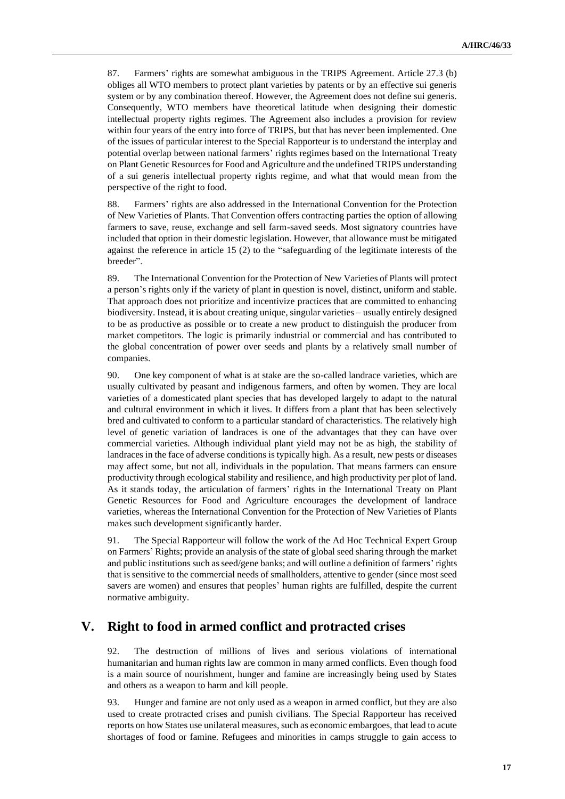87. Farmers' rights are somewhat ambiguous in the TRIPS Agreement. Article 27.3 (b) obliges all WTO members to protect plant varieties by patents or by an effective sui generis system or by any combination thereof. However, the Agreement does not define sui generis. Consequently, WTO members have theoretical latitude when designing their domestic intellectual property rights regimes. The Agreement also includes a provision for review within four years of the entry into force of TRIPS, but that has never been implemented. One of the issues of particular interest to the Special Rapporteur is to understand the interplay and potential overlap between national farmers' rights regimes based on the International Treaty on Plant Genetic Resources for Food and Agriculture and the undefined TRIPS understanding of a sui generis intellectual property rights regime, and what that would mean from the perspective of the right to food.

88. Farmers' rights are also addressed in the International Convention for the Protection of New Varieties of Plants. That Convention offers contracting parties the option of allowing farmers to save, reuse, exchange and sell farm-saved seeds. Most signatory countries have included that option in their domestic legislation. However, that allowance must be mitigated against the reference in article 15 (2) to the "safeguarding of the legitimate interests of the breeder".

89. The International Convention for the Protection of New Varieties of Plants will protect a person's rights only if the variety of plant in question is novel, distinct, uniform and stable. That approach does not prioritize and incentivize practices that are committed to enhancing biodiversity. Instead, it is about creating unique, singular varieties – usually entirely designed to be as productive as possible or to create a new product to distinguish the producer from market competitors. The logic is primarily industrial or commercial and has contributed to the global concentration of power over seeds and plants by a relatively small number of companies.

90. One key component of what is at stake are the so-called landrace varieties, which are usually cultivated by peasant and indigenous farmers, and often by women. They are local varieties of a domesticated plant species that has developed largely to adapt to the natural and cultural environment in which it lives. It differs from a plant that has been selectively bred and cultivated to conform to a particular standard of characteristics. The relatively high level of genetic variation of landraces is one of the advantages that they can have over commercial varieties. Although individual plant yield may not be as high, the stability of landraces in the face of adverse conditions is typically high. As a result, new pests or diseases may affect some, but not all, individuals in the population. That means farmers can ensure productivity through ecological stability and resilience, and high productivity per plot of land. As it stands today, the articulation of farmers' rights in the International Treaty on Plant Genetic Resources for Food and Agriculture encourages the development of landrace varieties, whereas the International Convention for the Protection of New Varieties of Plants makes such development significantly harder.

91. The Special Rapporteur will follow the work of the Ad Hoc Technical Expert Group on Farmers' Rights; provide an analysis of the state of global seed sharing through the market and public institutions such as seed/gene banks; and will outline a definition of farmers' rights that is sensitive to the commercial needs of smallholders, attentive to gender (since most seed savers are women) and ensures that peoples' human rights are fulfilled, despite the current normative ambiguity.

### **V. Right to food in armed conflict and protracted crises**

92. The destruction of millions of lives and serious violations of international humanitarian and human rights law are common in many armed conflicts. Even though food is a main source of nourishment, hunger and famine are increasingly being used by States and others as a weapon to harm and kill people.

93. Hunger and famine are not only used as a weapon in armed conflict, but they are also used to create protracted crises and punish civilians. The Special Rapporteur has received reports on how States use unilateral measures, such as economic embargoes, that lead to acute shortages of food or famine. Refugees and minorities in camps struggle to gain access to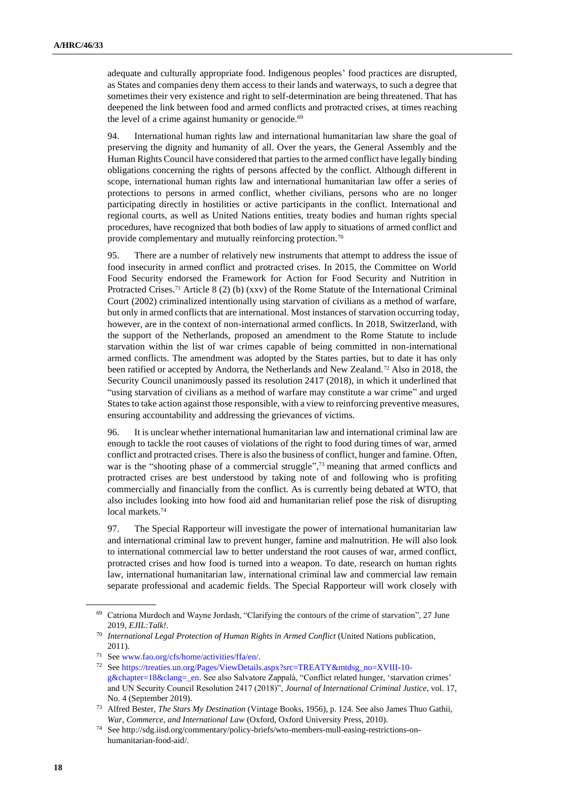adequate and culturally appropriate food. Indigenous peoples' food practices are disrupted, as States and companies deny them access to their lands and waterways, to such a degree that sometimes their very existence and right to self-determination are being threatened. That has deepened the link between food and armed conflicts and protracted crises, at times reaching the level of a crime against humanity or genocide.<sup>69</sup>

94. International human rights law and international humanitarian law share the goal of preserving the dignity and humanity of all. Over the years, the General Assembly and the Human Rights Council have considered that parties to the armed conflict have legally binding obligations concerning the rights of persons affected by the conflict. Although different in scope, international human rights law and international humanitarian law offer a series of protections to persons in armed conflict, whether civilians, persons who are no longer participating directly in hostilities or active participants in the conflict. International and regional courts, as well as United Nations entities, treaty bodies and human rights special procedures, have recognized that both bodies of law apply to situations of armed conflict and provide complementary and mutually reinforcing protection.<sup>70</sup>

95. There are a number of relatively new instruments that attempt to address the issue of food insecurity in armed conflict and protracted crises. In 2015, the Committee on World Food Security endorsed the Framework for Action for Food Security and Nutrition in Protracted Crises.<sup>71</sup> Article 8 (2) (b) (xxv) of the Rome Statute of the International Criminal Court (2002) criminalized intentionally using starvation of civilians as a method of warfare, but only in armed conflicts that are international. Most instances of starvation occurring today, however, are in the context of non-international armed conflicts. In 2018, Switzerland, with the support of the Netherlands, proposed an amendment to the Rome Statute to include starvation within the list of war crimes capable of being committed in non-international armed conflicts. The amendment was adopted by the States parties, but to date it has only been ratified or accepted by Andorra, the Netherlands and New Zealand.<sup>72</sup> Also in 2018, the Security Council unanimously passed its resolution 2417 (2018), in which it underlined that "using starvation of civilians as a method of warfare may constitute a war crime" and urged States to take action against those responsible, with a view to reinforcing preventive measures, ensuring accountability and addressing the grievances of victims.

96. It is unclear whether international humanitarian law and international criminal law are enough to tackle the root causes of violations of the right to food during times of war, armed conflict and protracted crises. There is also the business of conflict, hunger and famine. Often, war is the "shooting phase of a commercial struggle",<sup>73</sup> meaning that armed conflicts and protracted crises are best understood by taking note of and following who is profiting commercially and financially from the conflict. As is currently being debated at WTO, that also includes looking into how food aid and humanitarian relief pose the risk of disrupting local markets.<sup>74</sup>

97. The Special Rapporteur will investigate the power of international humanitarian law and international criminal law to prevent hunger, famine and malnutrition. He will also look to international commercial law to better understand the root causes of war, armed conflict, protracted crises and how food is turned into a weapon. To date, research on human rights law, international humanitarian law, international criminal law and commercial law remain separate professional and academic fields. The Special Rapporteur will work closely with

<sup>69</sup> Catriona Murdoch and Wayne Jordash, "Clarifying the contours of the crime of starvation", 27 June 2019, *EJIL:Talk!*.

<sup>70</sup> *International Legal Protection of Human Rights in Armed Conflict* (United Nations publication, 2011).

<sup>71</sup> Se[e www.fao.org/cfs/home/activities/ffa/en/.](http://www.fao.org/cfs/home/activities/ffa/en/)

<sup>72</sup> Se[e https://treaties.un.org/Pages/ViewDetails.aspx?src=TREATY&mtdsg\\_no=XVIII-10](https://treaties.un.org/Pages/ViewDetails.aspx?src=TREATY&mtdsg_no=XVIII-10-g&chapter=18&clang=_en) [g&chapter=18&clang=\\_en.](https://treaties.un.org/Pages/ViewDetails.aspx?src=TREATY&mtdsg_no=XVIII-10-g&chapter=18&clang=_en) See also Salvatore Zappalà, "Conflict related hunger, 'starvation crimes' and UN Security Council Resolution 2417 (2018)", *Journal of International Criminal Justice*, vol. 17, No. 4 (September 2019).

<sup>73</sup> Alfred Bester, *The Stars My Destination* (Vintage Books, 1956), p. 124. See also James Thuo Gathii, *War, Commerce, and International Law* (Oxford, Oxford University Press, 2010).

<sup>74</sup> See http://sdg.iisd.org/commentary/policy-briefs/wto-members-mull-easing-restrictions-onhumanitarian-food-aid/.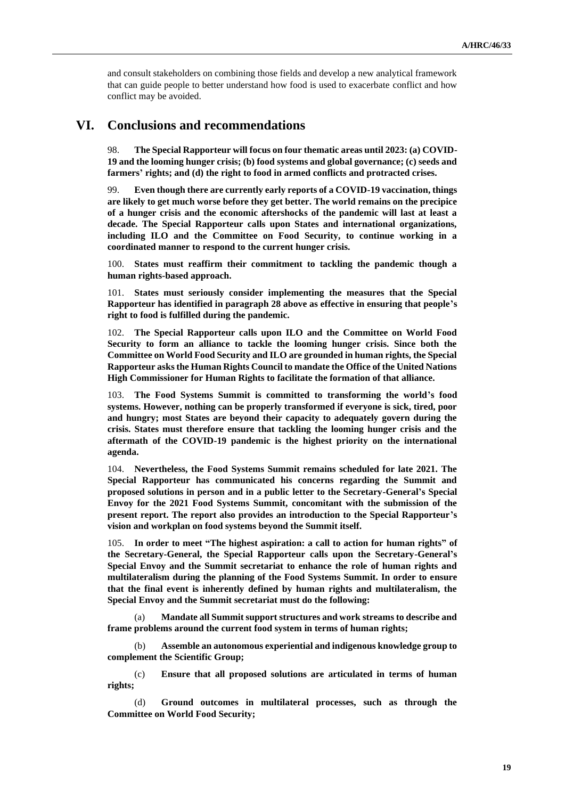and consult stakeholders on combining those fields and develop a new analytical framework that can guide people to better understand how food is used to exacerbate conflict and how conflict may be avoided.

### **VI. Conclusions and recommendations**

98. **The Special Rapporteur will focus on four thematic areas until 2023: (a) COVID-19 and the looming hunger crisis; (b) food systems and global governance; (c) seeds and farmers' rights; and (d) the right to food in armed conflicts and protracted crises.**

99. **Even though there are currently early reports of a COVID-19 vaccination, things are likely to get much worse before they get better. The world remains on the precipice of a hunger crisis and the economic aftershocks of the pandemic will last at least a decade. The Special Rapporteur calls upon States and international organizations, including ILO and the Committee on Food Security, to continue working in a coordinated manner to respond to the current hunger crisis.**

100. **States must reaffirm their commitment to tackling the pandemic though a human rights-based approach.**

101. **States must seriously consider implementing the measures that the Special Rapporteur has identified in paragraph 28 above as effective in ensuring that people's right to food is fulfilled during the pandemic.**

102. **The Special Rapporteur calls upon ILO and the Committee on World Food Security to form an alliance to tackle the looming hunger crisis. Since both the Committee on World Food Security and ILO are grounded in human rights, the Special Rapporteur asks the Human Rights Council to mandate the Office of the United Nations High Commissioner for Human Rights to facilitate the formation of that alliance.**

103. **The Food Systems Summit is committed to transforming the world's food systems. However, nothing can be properly transformed if everyone is sick, tired, poor and hungry; most States are beyond their capacity to adequately govern during the crisis. States must therefore ensure that tackling the looming hunger crisis and the aftermath of the COVID-19 pandemic is the highest priority on the international agenda.**

104. **Nevertheless, the Food Systems Summit remains scheduled for late 2021. The Special Rapporteur has communicated his concerns regarding the Summit and proposed solutions in person and in a public letter to the Secretary-General's Special Envoy for the 2021 Food Systems Summit, concomitant with the submission of the present report. The report also provides an introduction to the Special Rapporteur's vision and workplan on food systems beyond the Summit itself.**

105. **In order to meet "The highest aspiration: a call to action for human rights" of the Secretary-General, the Special Rapporteur calls upon the Secretary-General's Special Envoy and the Summit secretariat to enhance the role of human rights and multilateralism during the planning of the Food Systems Summit. In order to ensure that the final event is inherently defined by human rights and multilateralism, the Special Envoy and the Summit secretariat must do the following:**

(a) **Mandate all Summit support structures and work streams to describe and frame problems around the current food system in terms of human rights;**

(b) **Assemble an autonomous experiential and indigenous knowledge group to complement the Scientific Group;**

(c) **Ensure that all proposed solutions are articulated in terms of human rights;**

(d) **Ground outcomes in multilateral processes, such as through the Committee on World Food Security;**